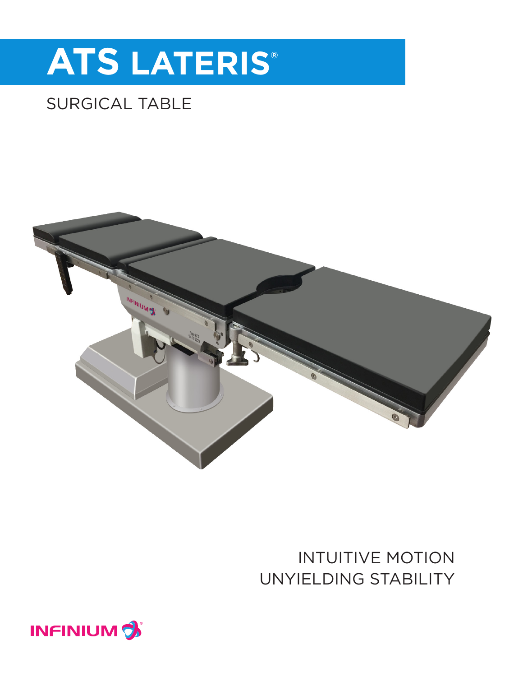# **ATS LATERIS®**

## SURGICAL TABLE



## INTUITIVE MOTION UNYIELDING STABILITY

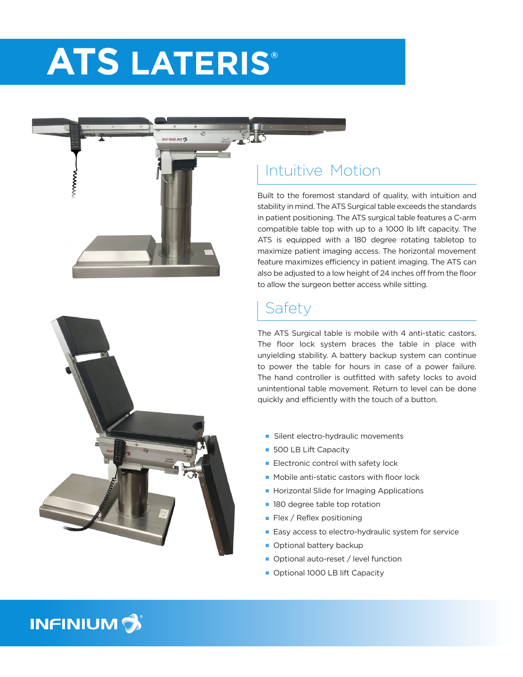## **ATS LATERIS®**

**NEINILIM OF** 



#### Intuitive Motion

Built to the foremost standard of quality, with intuition and stability in mind. The ATS Surgical table exceeds the standards in patient positioning. The ATS surgical table features a C-arm compatible table top with up to a 1000 lb lift capacity. The ATS is equipped with a 180 degree rotating tabletop to maximize patient imaging access. The horizontal movement feature maximizes efficiency in patient imaging. The ATS can also be adjusted to a low height of 24 inches off from the floor to allow the surgeon better access while sitting.

#### Safety

The ATS Surgical table is mobile with 4 anti-static castors. The floor lock system braces the table in place with unyielding stability. A battery backup system can continue to power the table for hours in case of a power failure. The hand controller is outfitted with safety locks to avoid unintentional table movement. Return to level can be done quickly and efficiently with the touch of a button.

- Silent electro-hydraulic movements
- **500 LB Lift Capacity**
- $\blacksquare$  Electronic control with safety lock
- $\blacksquare$  Mobile anti-static castors with floor lock
- **Horizontal Slide for Imaging Applications**
- 180 degree table top rotation
- $\blacksquare$  Flex / Reflex positioning
- Easy access to electro-hydraulic system for service
- **n** Optional battery backup
- Optional auto-reset / level function
- Optional 1000 LB lift Capacity

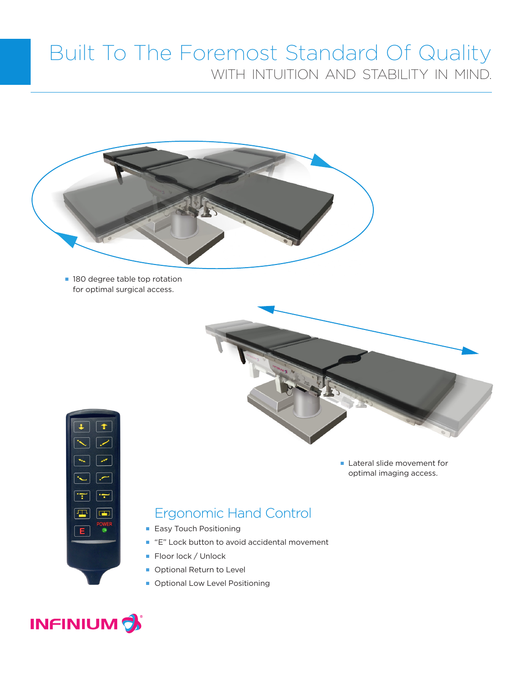## Built To The Foremost Standard Of Quality WITH INTUITION AND STABILITY IN MIND.



**n** 180 degree table top rotation for optimal surgical access.





**Lateral slide movement for** optimal imaging access.

#### Ergonomic Hand Control

- **Easy Touch Positioning**
- "E" Lock button to avoid accidental movement
- Floor lock / Unlock
- **Optional Return to Level**
- **n** Optional Low Level Positioning